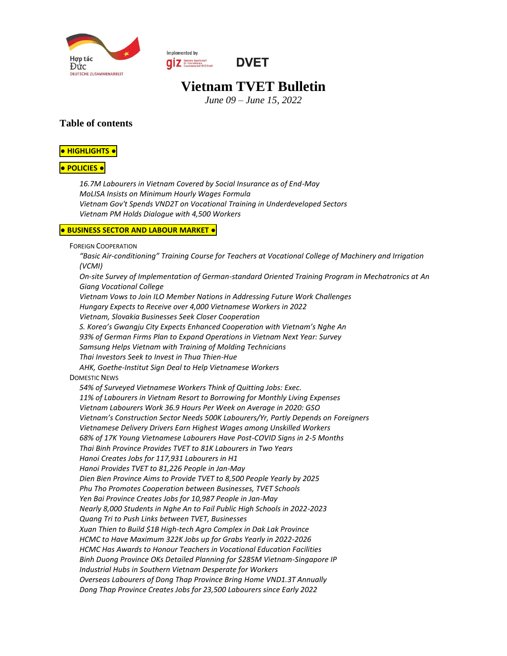

Implemented by **O Z** Deutsche Gesellschaft<br>
Zusammenarboit (GIZ) SmbH



# **Vietnam TVET Bulletin**

*June 09 – June 15, 2022*

#### **Table of contents**

#### **● [HIGHLIGHTS](#page-1-0) ●**

#### **● [POLICIES](#page-1-1) ●**

*[16.7M Labourers in Vietnam Covered by Social Insurance as of End-May](#page-1-2) [MoLISA Insists on Minimum Hourly Wages Formula](#page-1-3) [Vietnam Gov't Spends VND2T on Vocational](#page-1-4) Training in Underdeveloped Sectors [Vietnam PM Holds Dialogue with 4,500 Workers](#page-1-5)*

#### **● [BUSINESS](#page-2-0) SECTOR AND LABOUR MARKET ●**

FOREIGN C[OOPERATION](#page-2-1)

*"Basic Air-[conditioning" Training Course for Teachers at Vocational College of Machinery and Irrigation](#page-2-2)  [\(VCMI\)](#page-2-2) [On-site Survey of Implementation of German-standard Oriented Training Program in Mechatronics at An](#page-3-0)  [Giang Vocational College](#page-3-0) [Vietnam Vows to Join ILO Member Nations in Addressing Future Work Challenges](#page-3-1) [Hungary Expects to Receive over 4,000 Vietnamese Workers in 2022](#page-3-2) [Vietnam, Slovakia Businesses Seek Closer Cooperation](#page-4-0) [S. Korea's Gwangju City Expects Enhanced Cooperation with Vietnam's Nghe An](#page-4-1) [93% of German Firms Plan to Expand Operations in Vietnam Next Year: Survey](#page-4-2) [Samsung Helps Vietnam with Training of Molding Technicians](#page-4-3) [Thai Investors Seek to Invest in Thua Thien-Hue](#page-4-4) [AHK, Goethe-Institut Sign Deal to Help Vietnamese Workers](#page-5-0)* D[OMESTIC](#page-5-1) NEWS *[54% of Surveyed Vietnamese Workers Think of Quitting Jobs: Exec.](#page-5-2) [11% of Labourers in Vietnam Resort to Borrowing for Monthly Living Expenses](#page-5-3) [Vietnam Labourers Work 36.9 Hours Per Week on Average in 2020: GSO](#page-5-4) [Vietnam's Construction Sector Needs 500K Labourers/Yr, Partly Depends on](#page-6-0) Foreigners [Vietnamese Delivery Drivers Earn Highest Wages among Unskilled Workers](#page-6-1) [68% of 17K Young Vietnamese Labourers Have Post-COVID Signs in 2-5 Months](#page-6-2) [Thai Binh Province Provides TVET to 81K Labourers in Two Years](#page-6-3) [Hanoi Creates Jobs for 117,931 Labourers in H1](#page-6-4) [Hanoi Provides TVET to 81,226 People in Jan-May](#page-7-0) [Dien Bien Province Aims to Provide TVET to 8,500 People Yearly by 2025](#page-7-1) [Phu Tho Promotes Cooperation between Businesses, TVET Schools](#page-7-2) [Yen Bai Province Creates Jobs for 10,987 People in Jan-May](#page-7-3) [Nearly 8,000 Students in Nghe An to Fail Public High Schools in 2022-2023](#page-7-4) [Quang Tri to Push Links between TVET, Businesses](#page-7-5) [Xuan Thien to Build \\$1B High-tech Agro Complex in Dak Lak Province](#page-8-0) [HCMC to Have Maximum 322K Jobs up for Grabs Yearly in 2022-2026](#page-8-1) [HCMC Has Awards to Honour Teachers in Vocational Education Facilities](#page-8-2) [Binh Duong Province OKs Detailed Planning for \\$285M Vietnam-Singapore IP](#page-8-3) [Industrial Hubs in Southern Vietnam Desperate for Workers](#page-8-4) [Overseas Labourers of Dong Thap Province Bring](#page-9-0) Home VND1.3T Annually [Dong Thap Province Creates Jobs for 23,500 Labourers since Early 2022](#page-9-1)*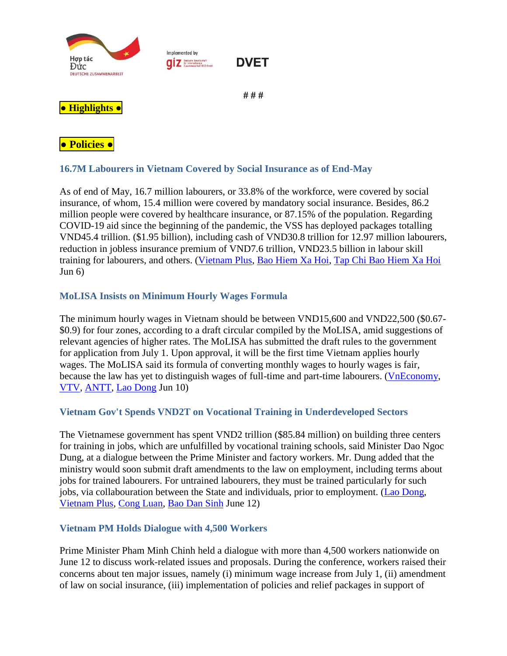

### <span id="page-1-2"></span><span id="page-1-1"></span><span id="page-1-0"></span>**16.7M Labourers in Vietnam Covered by Social Insurance as of End-May**

As of end of May, 16.7 million labourers, or 33.8% of the workforce, were covered by social insurance, of whom, 15.4 million were covered by mandatory social insurance. Besides, 86.2 million people were covered by healthcare insurance, or 87.15% of the population. Regarding COVID-19 aid since the beginning of the pandemic, the VSS has deployed packages totalling VND45.4 trillion. (\$1.95 billion), including cash of VND30.8 trillion for 12.97 million labourers, reduction in jobless insurance premium of VND7.6 trillion, VND23.5 billion in labour skill training for labourers, and others. [\(Vietnam Plus,](https://www.vietnamplus.vn/bhxh-thuc-hien-ho-tro-hon-45444-ty-dong-cho-lao-dong-va-doanh-nghiep/794322.vnp) [Bao Hiem Xa Hoi,](https://baohiemxahoi.gov.vn/tintuc/Pages/hoat-dong-he-thong-bao-hiem-xa-hoi.aspx?ItemID=18663&CateID=0#related) [Tap Chi Bao Hiem Xa Hoi](http://tapchibaohiemxahoi.gov.vn/nang-cao-hieu-qua-cong-tac-thu-phat-trien-nguoi-tham-gia-bhxh-bhyt-91871.html#related)  $Jun 6)$ 

# <span id="page-1-3"></span>**MoLISA Insists on Minimum Hourly Wages Formula**

The minimum hourly wages in Vietnam should be between VND15,600 and VND22,500 (\$0.67- \$0.9) for four zones, according to a draft circular compiled by the MoLISA, amid suggestions of relevant agencies of higher rates. The MoLISA has submitted the draft rules to the government for application from July 1. Upon approval, it will be the first time Vietnam applies hourly wages. The MoLISA said its formula of converting monthly wages to hourly wages is fair, because the law has yet to distinguish wages of full-time and part-time labourers. [\(VnEconomy,](https://vneconomy.vn/nhung-diem-moi-ve-luong-toi-thieu-vung-du-kien-ap-dung-tu-1-7-2022.htm) [VTV,](https://vtv.vn/kinh-te/luong-toi-thieu-vung-se-tang-bao-nhieu-ke-tu-1-7-2022-20220610065013181.htm#related) [ANTT,](http://antt.vn/luong-toi-thieu-vung-se-tang-bao-nhieu-ke-tu-1-7-2022-341974.htm#related) [Lao Dong](https://laodong.vn/cong-doan/de-xuat-muc-luong-toi-thieu-theo-thang-gio-tu-ngay-17-1054727.ldo#related) Jun 10)

### <span id="page-1-4"></span>**Vietnam Gov't Spends VND2T on Vocational Training in Underdeveloped Sectors**

The Vietnamese government has spent VND2 trillion (\$85.84 million) on building three centers for training in jobs, which are unfulfilled by vocational training schools, said Minister Dao Ngoc Dung, at a dialogue between the Prime Minister and factory workers. Mr. Dung added that the ministry would soon submit draft amendments to the law on employment, including terms about jobs for trained labourers. For untrained labourers, they must be trained particularly for such jobs, via collabouration between the State and individuals, prior to employment. [\(Lao Dong,](https://laodong.vn/thoi-su/thu-tuong-dao-tao-nghe-la-doi-hoi-chinh-dang-cua-cong-nhan-lao-dong-1055571.ldo) [Vietnam](https://www.vietnamplus.vn/giai-nhiet-nhung-van-de-nong-trong-cong-nhan-lao-dong/797518.vnp#related) Plus, [Cong Luan,](https://congluan.vn/hoc-tap-nang-cao-trinh-do-ky-nang-nghe-nghiep-la-doi-hoi-chinh-dang-cua-nguoi-lao-dong-post198830.html#related) [Bao Dan Sinh](https://baodansinh.vn/tam-tu-nguyen-vong-chinh-dang-cua-cong-nhan-can-phai-duoc-giai-quyet-20220612224357.htm#related) June 12)

#### <span id="page-1-5"></span>**Vietnam PM Holds Dialogue with 4,500 Workers**

Prime Minister Pham Minh Chinh held a dialogue with more than 4,500 workers nationwide on June 12 to discuss work-related issues and proposals. During the conference, workers raised their concerns about ten major issues, namely (i) minimum wage increase from July 1, (ii) amendment of law on social insurance, (iii) implementation of policies and relief packages in support of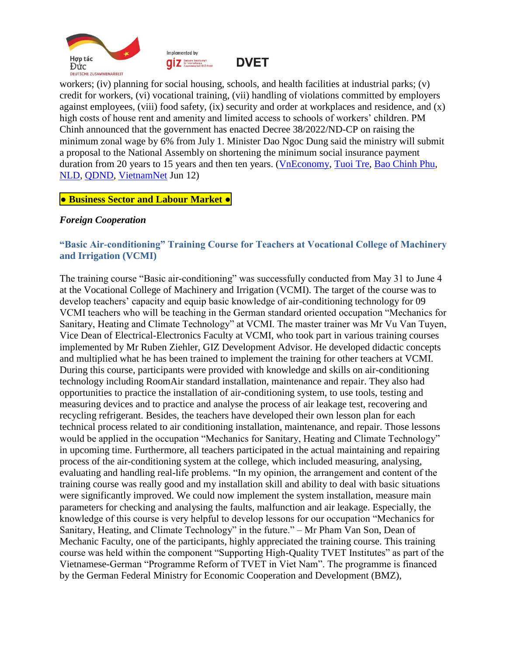



**DVET** 

workers; (iv) planning for social housing, schools, and health facilities at industrial parks; (v) credit for workers, (vi) vocational training, (vii) handling of violations committed by employers against employees, (viii) food safety, (ix) security and order at workplaces and residence, and (x) high costs of house rent and amenity and limited access to schools of workers' children. PM Chinh announced that the government has enacted Decree 38/2022/ND-CP on raising the minimum zonal wage by 6% from July 1. Minister Dao Ngoc Dung said the ministry will submit a proposal to the National Assembly on shortening the minimum social insurance payment duration from 20 years to 15 years and then ten years. [\(VnEconomy,](https://vneconomy.vn/10-nhom-van-de-kien-nghi-cong-nhan-gui-len-thu-tuong-chinh-phu.htm) [Tuoi Tre,](https://tuoitre.vn/thu-tuong-doi-thoai-voi-cong-nhan-ra-soat-chinh-sach-dap-ung-nguyen-vong-ve-doi-song-viec-lam-20220612091233047.htm#related) [Bao Chinh Phu,](https://baochinhphu.vn/truc-tiep-thu-tuong-pham-minh-chinh-doi-thoai-voi-cong-nhan-102220612084135865.htm#related) [NLD,](http://nld.com.vn/cong-doan/thu-tuong-chinh-phu-doi-thoai-voi-cong-nhan-vi-muc-tieu-cao-nhat-la-nhan-dan-duoc-am-no-hanh-phuc-2022061210353965.htm#related) [QDND,](https://www.qdnd.vn/chinh-tri/tin-tuc/thu-tuong-chinh-phu-pham-minh-chinh-doi-thoai-voi-hon-4-500-cong-nhan-nguoi-lao-dong-tren-ca-nuoc-697061#related) [VietnamNet](https://vietnamnet.vn/thu-tuong-pham-minh-chinh-doi-thoai-voi-cong-nhan-ve-khat-vong-phat-trien-dat-nuoc-2029335.html#related) Jun 12)

### <span id="page-2-0"></span>**● Business Sector and Labour Market ●**

### <span id="page-2-1"></span>*Foreign Cooperation*

### <span id="page-2-2"></span>**"Basic Air-conditioning" Training Course for Teachers at Vocational College of Machinery and Irrigation (VCMI)**

The training course "Basic air-conditioning" was successfully conducted from May 31 to June 4 at the Vocational College of Machinery and Irrigation (VCMI). The target of the course was to develop teachers' capacity and equip basic knowledge of air-conditioning technology for 09 VCMI teachers who will be teaching in the German standard oriented occupation "Mechanics for Sanitary, Heating and Climate Technology" at VCMI. The master trainer was Mr Vu Van Tuyen, Vice Dean of Electrical-Electronics Faculty at VCMI, who took part in various training courses implemented by Mr Ruben Ziehler, GIZ Development Advisor. He developed didactic concepts and multiplied what he has been trained to implement the training for other teachers at VCMI. During this course, participants were provided with knowledge and skills on air-conditioning technology including RoomAir standard installation, maintenance and repair. They also had opportunities to practice the installation of air-conditioning system, to use tools, testing and measuring devices and to practice and analyse the process of air leakage test, recovering and recycling refrigerant. Besides, the teachers have developed their own lesson plan for each technical process related to air conditioning installation, maintenance, and repair. Those lessons would be applied in the occupation "Mechanics for Sanitary, Heating and Climate Technology" in upcoming time. Furthermore, all teachers participated in the actual maintaining and repairing process of the air-conditioning system at the college, which included measuring, analysing, evaluating and handling real-life problems. "In my opinion, the arrangement and content of the training course was really good and my installation skill and ability to deal with basic situations were significantly improved. We could now implement the system installation, measure main parameters for checking and analysing the faults, malfunction and air leakage. Especially, the knowledge of this course is very helpful to develop lessons for our occupation "Mechanics for Sanitary, Heating, and Climate Technology" in the future." – Mr Pham Van Son, Dean of Mechanic Faculty, one of the participants, highly appreciated the training course. This training course was held within the component "Supporting High-Quality TVET Institutes" as part of the Vietnamese-German "Programme Reform of TVET in Viet Nam". The programme is financed by the German Federal Ministry for Economic Cooperation and Development (BMZ),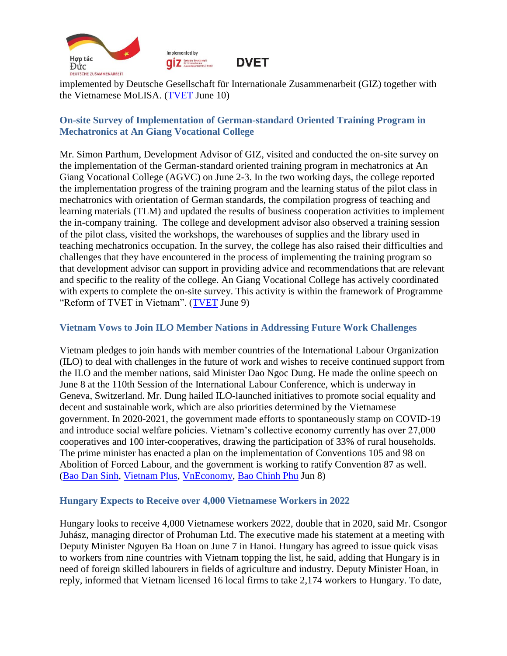

Implemented by **Q Z** Deutsche Gesellschaft<br>
Zusammenarbeit (GIZ) SmbH



implemented by Deutsche Gesellschaft für Internationale Zusammenarbeit (GIZ) together with the Vietnamese MoLISA. [\(TVET](https://www.tvet-vietnam.org/archives/news/basic-air-conditioning-training-course-for-teachers-at-vocational-college-of-machinery-and-irrigation-vcmi) June 10)

### <span id="page-3-0"></span>**On-site Survey of Implementation of German-standard Oriented Training Program in Mechatronics at An Giang Vocational College**

Mr. Simon Parthum, Development Advisor of GIZ, visited and conducted the on-site survey on the implementation of the German-standard oriented training program in mechatronics at An Giang Vocational College (AGVC) on June 2-3. In the two working days, the college reported the implementation progress of the training program and the learning status of the pilot class in mechatronics with orientation of German standards, the compilation progress of teaching and learning materials (TLM) and updated the results of business cooperation activities to implement the in-company training. The college and development advisor also observed a training session of the pilot class, visited the workshops, the warehouses of supplies and the library used in teaching mechatronics occupation. In the survey, the college has also raised their difficulties and challenges that they have encountered in the process of implementing the training program so that development advisor can support in providing advice and recommendations that are relevant and specific to the reality of the college. An Giang Vocational College has actively coordinated with experts to complete the on-site survey. This activity is within the framework of Programme "Reform of TVET in Vietnam". [\(TVET](https://www.tvet-vietnam.org/archives/news/on-site-survey-of-the-implementation-of-the-german-standard-oriented-training-program-in-mechatronics-at-an-giang-vocational-college) June 9)

# <span id="page-3-1"></span>**Vietnam Vows to Join ILO Member Nations in Addressing Future Work Challenges**

Vietnam pledges to join hands with member countries of the International Labour Organization (ILO) to deal with challenges in the future of work and wishes to receive continued support from the ILO and the member nations, said Minister Dao Ngoc Dung. He made the online speech on June 8 at the 110th Session of the International Labour Conference, which is underway in Geneva, Switzerland. Mr. Dung hailed ILO-launched initiatives to promote social equality and decent and sustainable work, which are also priorities determined by the Vietnamese government. In 2020-2021, the government made efforts to spontaneously stamp on COVID-19 and introduce social welfare policies. Vietnam's collective economy currently has over 27,000 cooperatives and 100 inter-cooperatives, drawing the participation of 33% of rural households. The prime minister has enacted a plan on the implementation of Conventions 105 and 98 on Abolition of Forced Labour, and the government is working to ratify Convention 87 as well. [\(Bao Dan Sinh,](https://baodansinh.vn/bo-truong-dao-ngoc-dung-kinh-te-phuc-hoi-nhanh-chong-ti-le-that-nghiep-cua-viet-nam-chi-246-20220608201220.htm) [Vietnam Plus,](https://www.vietnamplus.vn/viet-nam-uu-tien-thuc-day-viec-lam-thoa-dang-va-ben-vung-cho-nguoi-dan/796787.vnp#related) [VnEconomy,](https://vneconomy.vn/viet-nam-uu-tien-thuc-day-viec-lam-ben-vung-cho-nguoi-lao-dong.htm#related) [Bao Chinh Phu](https://baochinhphu.vn/viet-nam-uu-tien-thuc-day-viec-lam-ben-vung-102220609082622153.htm#related) Jun 8)

### <span id="page-3-2"></span>**Hungary Expects to Receive over 4,000 Vietnamese Workers in 2022**

Hungary looks to receive 4,000 Vietnamese workers 2022, double that in 2020, said Mr. Csongor Juhász, managing director of Prohuman Ltd. The executive made his statement at a meeting with Deputy Minister Nguyen Ba Hoan on June 7 in Hanoi. Hungary has agreed to issue quick visas to workers from nine countries with Vietnam topping the list, he said, adding that Hungary is in need of foreign skilled labourers in fields of agriculture and industry. Deputy Minister Hoan, in reply, informed that Vietnam licensed 16 local firms to take 2,174 workers to Hungary. To date,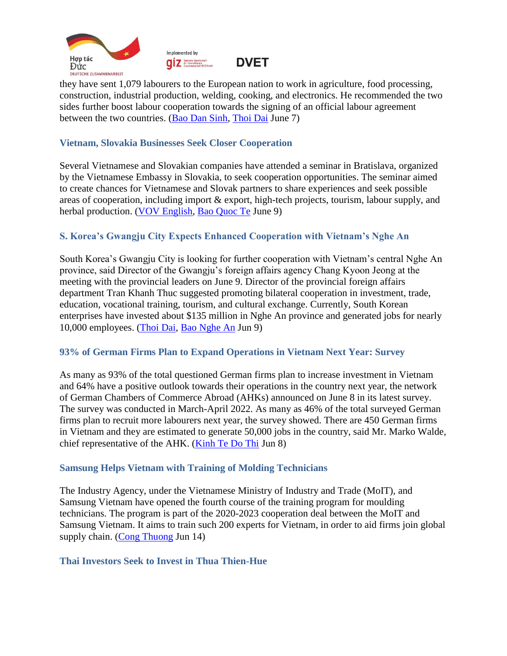



they have sent 1,079 labourers to the European nation to work in agriculture, food processing, construction, industrial production, welding, cooking, and electronics. He recommended the two sides further boost labour cooperation towards the signing of an official labour agreement between the two countries. [\(Bao Dan Sinh,](https://baodansinh.vn/tang-cuong-hop-tac-dua-lao-dong-viet-nam-sang-lam-viec-tai-hungary-20220607173540.htm) [Thoi Dai](https://thoidai.com.vn/viet-nam-dung-dau-danh-sach-cac-nuoc-duoc-hungary-cap-nhanh-visa-lao-dong-169855.html#related) June 7)

### <span id="page-4-0"></span>**Vietnam, Slovakia Businesses Seek Closer Cooperation**

Several Vietnamese and Slovakian companies have attended a seminar in Bratislava, organized by the Vietnamese Embassy in Slovakia, to seek cooperation opportunities. The seminar aimed to create chances for Vietnamese and Slovak partners to share experiences and seek possible areas of cooperation, including import & export, high-tech projects, tourism, labour supply, and herbal production. [\(VOV English,](https://english.vov.vn/en/economy/seminar-connects-vietnam-slovakia-businesses-post949233.vov) [Bao Quoc Te](https://baoquocte.vn/ket-noi-doanh-nghiep-viet-nam-slovakia-2022-186526.html#related) June 9)

### <span id="page-4-1"></span>**S. Korea's Gwangju City Expects Enhanced Cooperation with Vietnam's Nghe An**

South Korea's Gwangju City is looking for further cooperation with Vietnam's central Nghe An province, said Director of the Gwangju's foreign affairs agency Chang Kyoon Jeong at the meeting with the provincial leaders on June 9. Director of the provincial foreign affairs department Tran Khanh Thuc suggested promoting bilateral cooperation in investment, trade, education, vocational training, tourism, and cultural exchange. Currently, South Korean enterprises have invested about \$135 million in Nghe An province and generated jobs for nearly 10,000 employees. [\(Thoi Dai,](https://thoidai.com.vn/thuc-day-hop-tac-ve-tri-tue-nhan-tao-du-lich-lao-dong-giua-nghe-an-va-tp-gwangju-han-quoc-169965.html) [Bao Nghe An](https://baonghean.vn/trao-doi-thuc-day-hop-tac-giua-nghe-an-va-thanh-pho-lon-thu-6-cua-han-quoc-post254655.html#related) Jun 9)

#### <span id="page-4-2"></span>**93% of German Firms Plan to Expand Operations in Vietnam Next Year: Survey**

As many as 93% of the total questioned German firms plan to increase investment in Vietnam and 64% have a positive outlook towards their operations in the country next year, the network of German Chambers of Commerce Abroad (AHKs) announced on June 8 in its latest survey. The survey was conducted in March-April 2022. As many as 46% of the total surveyed German firms plan to recruit more labourers next year, the survey showed. There are 450 German firms in Vietnam and they are estimated to generate 50,000 jobs in the country, said Mr. Marko Walde, chief representative of the AHK. [\(Kinh Te Do Thi](https://kinhtedothi.vn/hon-90-dn-duc-du-kien-mo-rong-dau-tu-tai-viet-nam.html) Jun 8)

#### <span id="page-4-3"></span>**Samsung Helps Vietnam with Training of Molding Technicians**

The Industry Agency, under the Vietnamese Ministry of Industry and Trade (MoIT), and Samsung Vietnam have opened the fourth course of the training program for moulding technicians. The program is part of the 2020-2023 cooperation deal between the MoIT and Samsung Vietnam. It aims to train such 200 experts for Vietnam, in order to aid firms join global supply chain. [\(Cong Thuong](https://congthuong.vn/bo-cong-thuong-samsung-hop-tac-dao-tao-chuyen-gia-khuon-mau-180265.html) Jun 14)

#### <span id="page-4-4"></span>**Thai Investors Seek to Invest in Thua Thien-Hue**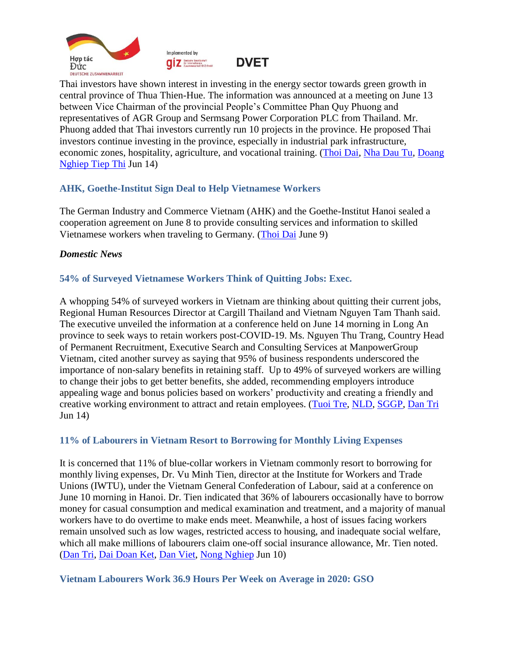



**DVET** 

Thai investors have shown interest in investing in the energy sector towards green growth in central province of Thua Thien-Hue. The information was announced at a meeting on June 13 between Vice Chairman of the provincial People's Committee Phan Quy Phuong and representatives of AGR Group and Sermsang Power Corporation PLC from Thailand. Mr. Phuong added that Thai investors currently run 10 projects in the province. He proposed Thai investors continue investing in the province, especially in industrial park infrastructure, economic zones, hospitality, agriculture, and vocational training. [\(Thoi Dai,](https://thoidai.com.vn/nha-dau-tu-thai-lan-tim-hieu-co-hoi-dau-tu-tai-tinh-thua-thien-hue-170264.html) [Nha Dau Tu,](https://nhadautu.vn/doanh-nghiep-thai-lan-muon-dau-tu-nang-luong-tai-tao-tai-thua-thien-hue-d67030.html#related) [Doang](https://doanhnghieptiepthi.vn/cac-tap-doan-thai-lan-tim-hieu-co-hoi-dau-tu-tai-thua-thien-hue-161220613164801918.htm#related)  [Nghiep Tiep Thi](https://doanhnghieptiepthi.vn/cac-tap-doan-thai-lan-tim-hieu-co-hoi-dau-tu-tai-thua-thien-hue-161220613164801918.htm#related) Jun 14)

# <span id="page-5-0"></span>**AHK, Goethe-Institut Sign Deal to Help Vietnamese Workers**

The German Industry and Commerce Vietnam (AHK) and the Goethe-Institut Hanoi sealed a cooperation agreement on June 8 to provide consulting services and information to skilled Vietnamese workers when traveling to Germany. [\(Thoi Dai](https://thoidai.com.vn/lao-dong-tay-nghe-cao-viet-nam-co-them-ho-tro-khi-sang-duc-lam-viec-169984.html) June 9)

#### <span id="page-5-1"></span>*Domestic News*

### <span id="page-5-2"></span>**54% of Surveyed Vietnamese Workers Think of Quitting Jobs: Exec.**

A whopping 54% of surveyed workers in Vietnam are thinking about quitting their current jobs, Regional Human Resources Director at Cargill Thailand and Vietnam Nguyen Tam Thanh said. The executive unveiled the information at a conference held on June 14 morning in Long An province to seek ways to retain workers post-COVID-19. Ms. Nguyen Thu Trang, Country Head of Permanent Recruitment, Executive Search and Consulting Services at ManpowerGroup Vietnam, cited another survey as saying that 95% of business respondents underscored the importance of non-salary benefits in retaining staff. Up to 49% of surveyed workers are willing to change their jobs to get better benefits, she added, recommending employers introduce appealing wage and bonus policies based on workers' productivity and creating a friendly and creative working environment to attract and retain employees. [\(Tuoi Tre,](https://tuoitre.vn/vi-sao-54-nguoi-lao-dong-tai-viet-nam-muon-nghi-viec-2022061411565043.htm) [NLD,](https://nld.com.vn/cong-doan/nguoi-lao-dong-muon-luong-canh-tranh-thoi-gian-lam-viec-linh-hoat-20220614103551216.htm#related) [SGGP,](https://www.sggp.org.vn/giai-phap-giu-chan-nguoi-lao-dong-sau-dai-dich-covid19-820698.html#related) [Dan Tri](https://dantri.com.vn/lao-dong-viec-lam/tang-luong-co-the-giu-chan-nguoi-lao-dong-sau-dich-covid-19-20220614133153097.htm#related) Jun 14)

#### <span id="page-5-3"></span>**11% of Labourers in Vietnam Resort to Borrowing for Monthly Living Expenses**

It is concerned that 11% of blue-collar workers in Vietnam commonly resort to borrowing for monthly living expenses, Dr. Vu Minh Tien, director at the Institute for Workers and Trade Unions (IWTU), under the Vietnam General Confederation of Labour, said at a conference on June 10 morning in Hanoi. Dr. Tien indicated that 36% of labourers occasionally have to borrow money for casual consumption and medical examination and treatment, and a majority of manual workers have to do overtime to make ends meet. Meanwhile, a host of issues facing workers remain unsolved such as low wages, restricted access to housing, and inadequate social welfare, which all make millions of labourers claim one-off social insurance allowance, Mr. Tien noted. [\(Dan Tri,](https://dantri.com.vn/lao-dong-viec-lam/47-nguoi-lao-dong-phai-vay-tien-sinh-hoat-kham-chua-benh-20220610102706562.htm) [Dai Doan Ket,](http://daidoanket.vn/11-cong-nhan-thuong-xuyen-phai-vay-tien-de-sinh-hoat-hang-thang-5688493.html#related) [Dan Viet,](https://danviet.vn/cong-nhan-lao-dong-buoc-phai-rut-bhxh-mot-lan-vi-cuoc-song-qua-kho-khan-20220610120423234.htm#related) [Nong Nghiep](https://nongnghiep.vn/11-cong-nhan-lao-dong-thuong-xuyen-phai-vay-tien-de-sinh-hoat-hang-thang-d325114.html#related) Jun 10)

#### <span id="page-5-4"></span>**Vietnam Labourers Work 36.9 Hours Per Week on Average in 2020: GSO**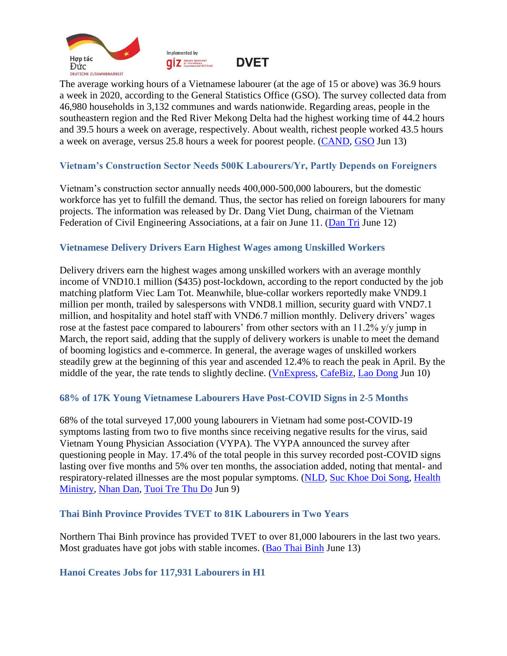





The average working hours of a Vietnamese labourer (at the age of 15 or above) was 36.9 hours a week in 2020, according to the General Statistics Office (GSO). The survey collected data from 46,980 households in 3,132 communes and wards nationwide. Regarding areas, people in the southeastern region and the Red River Mekong Delta had the highest working time of 44.2 hours and 39.5 hours a week on average, respectively. About wealth, richest people worked 43.5 hours a week on average, versus 25.8 hours a week for poorest people. [\(CAND,](https://cand.com.vn/kinh-te/nam-2020-vung-dong-nam-bo-co-thu-nhap-binh-quan-dau-nguoi-cao-nhat-ca-nuoc-i656950/) [GSO](https://www.gso.gov.vn/en/data-and-statistics/2022/06/results-of-the-viet-nam-household-living-standards-survey-2020/#related) Jun 13)

### <span id="page-6-0"></span>**Vietnam's Construction Sector Needs 500K Labourers/Yr, Partly Depends on Foreigners**

Vietnam's construction sector annually needs 400,000-500,000 labourers, but the domestic workforce has yet to fulfill the demand. Thus, the sector has relied on foreign labourers for many projects. The information was released by Dr. Dang Viet Dung, chairman of the Vietnam Federation of Civil Engineering Associations, at a fair on June 11. [\(Dan Tri](https://dantri.com.vn/lao-dong-viec-lam/nganh-xay-dung-can-nua-trieu-lao-dongnam-phai-cay-nhan-su-nuoc-ngoai-20220612082255437.htm) June 12)

### <span id="page-6-1"></span>**Vietnamese Delivery Drivers Earn Highest Wages among Unskilled Workers**

Delivery drivers earn the highest wages among unskilled workers with an average monthly income of VND10.1 million (\$435) post-lockdown, according to the report conducted by the job matching platform Viec Lam Tot. Meanwhile, blue-collar workers reportedly make VND9.1 million per month, trailed by salespersons with VND8.1 million, security guard with VND7.1 million, and hospitality and hotel staff with VND6.7 million monthly. Delivery drivers' wages rose at the fastest pace compared to labourers' from other sectors with an 11.2% y/y jump in March, the report said, adding that the supply of delivery workers is unable to meet the demand of booming logistics and e-commerce. In general, the average wages of unskilled workers steadily grew at the beginning of this year and ascended 12.4% to reach the peak in April. By the middle of the year, the rate tends to slightly decline. [\(VnExpress,](https://vnexpress.net/shipper-co-luong-cao-nhat-trong-nhom-lao-dong-pho-thong-4474242.html) [CafeBiz,](https://cafebiz.vn/luong-shipper-cao-nhat-nhom-lao-dong-pho-thong-ha-noi-hay-tphcm-chua-phai-noi-tra-cao-nhat-20220610145514803.chn#related) [Lao Dong](https://laodong.vn/ban-doc/shipper-thu-nhap-cao-nhung-su-vat-va-khong-phai-ai-cung-thau-1055134.ldo#related) Jun 10)

### <span id="page-6-2"></span>**68% of 17K Young Vietnamese Labourers Have Post-COVID Signs in 2-5 Months**

68% of the total surveyed 17,000 young labourers in Vietnam had some post-COVID-19 symptoms lasting from two to five months since receiving negative results for the virus, said Vietnam Young Physician Association (VYPA). The VYPA announced the survey after questioning people in May. 17.4% of the total people in this survey recorded post-COVID signs lasting over five months and 5% over ten months, the association added, noting that mental- and respiratory-related illnesses are the most popular symptoms. [\(NLD,](https://nld.com.vn/suc-khoe/68-f0-co-trieu-chung-hau-covid-19-can-phuc-hoi-suc-khoe-20220608125512961.htm) [Suc Khoe Doi Song,](https://suckhoedoisong.vn/68-f0-ton-tai-trieu-chung-hau-covid-19-co-4-dau-hieu-can-di-kham-de-duoc-chan-doan-dieu-tri-169220609170802413.htm#related) [Health](https://moh.gov.vn/tin-tong-hop/-/asset_publisher/k206Q9qkZOqn/content/68-f0-ton-tai-trieu-chung-hau-covid-19-co-4-dau-hieu-can-i-kham-e-uoc-chan-oan-ieu-tri#related)  [Ministry,](https://moh.gov.vn/tin-tong-hop/-/asset_publisher/k206Q9qkZOqn/content/68-f0-ton-tai-trieu-chung-hau-covid-19-co-4-dau-hieu-can-i-kham-e-uoc-chan-oan-ieu-tri#related) [Nhan Dan,](https://nhandan.vn/tin-tuc-y-te/68-benh-nhan-co-trieu-chung-hau-covid-19-keo-dai-tu-2-5-thang-700636/#related) [Tuoi Tre Thu Do](https://tuoitrethudo.com.vn/khoang-68-f0-du-khoi-van-co-trieu-chung-hau-covid-19-can-phuc-hoi-suc-khoe-198442.html#related) Jun 9)

#### <span id="page-6-3"></span>**Thai Binh Province Provides TVET to 81K Labourers in Two Years**

Northern Thai Binh province has provided TVET to over 81,000 labourers in the last two years. Most graduates have got jobs with stable incomes. [\(Bao Thai Binh](https://baothaibinh.com.vn/news/14/152277/phat-trien-thi-truong-lao-dong-yeu-to-quan-trong-thuc-day-tang-truong-kinh-te-cua-tinh) June 13)

#### <span id="page-6-4"></span>**Hanoi Creates Jobs for 117,931 Labourers in H1**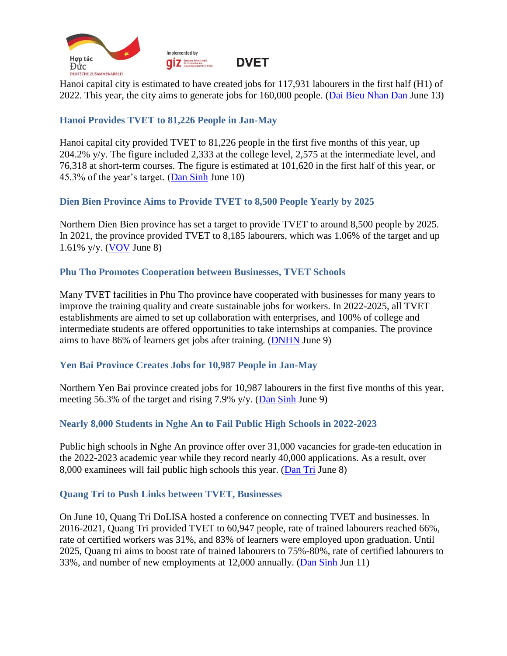



Hanoi capital city is estimated to have created jobs for 117,931 labourers in the first half (H1) of 2022. This year, the city aims to generate jobs for 160,000 people. [\(Dai Bieu Nhan Dan](https://daibieunhandan.vn/doi-song-xa-hoi/ha-noi-uoc-tinh-giai-quyet-viec-lam-cho-gan-118-000-lao-dong-6-thang-dau-nam-i291857/) June 13)

### <span id="page-7-0"></span>**Hanoi Provides TVET to 81,226 People in Jan-May**

Hanoi capital city provided TVET to 81,226 people in the first five months of this year, up 204.2% y/y. The figure included 2,333 at the college level, 2,575 at the intermediate level, and 76,318 at short-term courses. The figure is estimated at 101,620 in the first half of this year, or 45.3% of the year's target. [\(Dan Sinh](https://baodansinh.vn/5-thang-dau-nam-tp-ha-noi-tuyen-sinh-va-dao-tao-nghe-cho-81226-luot-nguoi-20220609222720.htm) June 10)

### <span id="page-7-1"></span>**Dien Bien Province Aims to Provide TVET to 8,500 People Yearly by 2025**

Northern Dien Bien province has set a target to provide TVET to around 8,500 people by 2025. In 2021, the province provided TVET to 8,185 labourers, which was 1.06% of the target and up 1.61% y/y. [\(VOV](https://vov.vn/xa-hoi/hieu-qua-tu-viec-da-dang-hinh-thuc-dao-tao-nghe-cho-lao-dong-nong-thon-o-dien-bien-post948859.vov) June 8)

### <span id="page-7-2"></span>**Phu Tho Promotes Cooperation between Businesses, TVET Schools**

Many TVET facilities in Phu Tho province have cooperated with businesses for many years to improve the training quality and create sustainable jobs for workers. In 2022-2025, all TVET establishments are aimed to set up collaboration with enterprises, and 100% of college and intermediate students are offered opportunities to take internships at companies. The province aims to have 86% of learners get jobs after training. [\(DNHN](https://doanhnghiephoinhap.vn/phu-tho-thuc-day-moi-lien-ket-nha-truong-va-doanh-nghiep-trong-cong-tac-giao-duc-nghe-nghiep.html) June 9)

### <span id="page-7-3"></span>**Yen Bai Province Creates Jobs for 10,987 People in Jan-May**

Northern Yen Bai province created jobs for 10,987 labourers in the first five months of this year, meeting 56.3% of the target and rising 7.9% y/y. [\(Dan Sinh](https://baodansinh.vn/yen-bai-giai-quyet-viec-lam-cho-10978-lao-dong-20220609111621.htm) June 9)

### <span id="page-7-4"></span>**Nearly 8,000 Students in Nghe An to Fail Public High Schools in 2022-2023**

Public high schools in Nghe An province offer over 31,000 vacancies for grade-ten education in the 2022-2023 academic year while they record nearly 40,000 applications. As a result, over 8,000 examinees will fail public high schools this year. [\(Dan Tri](https://dantri.com.vn/giao-duc-huong-nghiep/gan-8000-thi-sinh-nghe-an-khong-co-co-hoi-vao-lop-10-cong-lap-20220608141400219.htm) June 8)

#### <span id="page-7-5"></span>**Quang Tri to Push Links between TVET, Businesses**

On June 10, Quang Tri DoLISA hosted a conference on connecting TVET and businesses. In 2016-2021, Quang Tri provided TVET to 60,947 people, rate of trained labourers reached 66%, rate of certified workers was 31%, and 83% of learners were employed upon graduation. Until 2025, Quang tri aims to boost rate of trained labourers to 75%-80%, rate of certified labourers to 33%, and number of new employments at 12,000 annually. [\(Dan Sinh](https://baodansinh.vn/quang-tri-day-manh-gan-ket-co-so-gdnn-voi-dn-trong-dao-tao-nghe-giai-quyet-viec-lam-20220610200724.htm) Jun 11)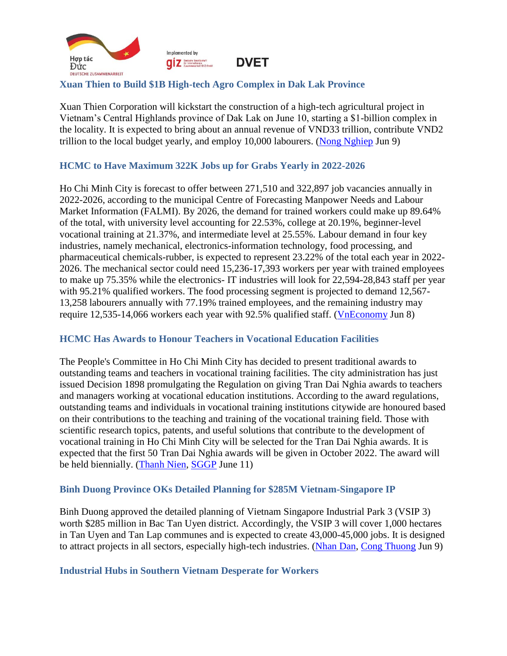

# <span id="page-8-0"></span>**Xuan Thien to Build \$1B High-tech Agro Complex in Dak Lak Province**

Xuan Thien Corporation will kickstart the construction of a high-tech agricultural project in Vietnam's Central Highlands province of Dak Lak on June 10, starting a \$1-billion complex in the locality. It is expected to bring about an annual revenue of VND33 trillion, contribute VND2 trillion to the local budget yearly, and employ 10,000 labourers. [\(Nong Nghiep](https://nongnghiep.vn/xuan-thien-khoi-cong-du-an-dau-tien-trong-chuoi-du-an-nong-nghiep-ty-do-d324875.html) Jun 9)

# <span id="page-8-1"></span>**HCMC to Have Maximum 322K Jobs up for Grabs Yearly in 2022-2026**

Ho Chi Minh City is forecast to offer between 271,510 and 322,897 job vacancies annually in 2022-2026, according to the municipal Centre of Forecasting Manpower Needs and Labour Market Information (FALMI). By 2026, the demand for trained workers could make up 89.64% of the total, with university level accounting for 22.53%, college at 20.19%, beginner-level vocational training at 21.37%, and intermediate level at 25.55%. Labour demand in four key industries, namely mechanical, electronics-information technology, food processing, and pharmaceutical chemicals-rubber, is expected to represent 23.22% of the total each year in 2022- 2026. The mechanical sector could need 15,236-17,393 workers per year with trained employees to make up 75.35% while the electronics- IT industries will look for 22,594-28,843 staff per year with 95.21% qualified workers. The food processing segment is projected to demand 12,567-13,258 labourers annually with 77.19% trained employees, and the remaining industry may require 12,535-14,066 workers each year with 92.5% qualified staff. [\(VnEconomy](https://vneconomy.vn/tp-hcm-nhan-luc-4-nganh-cong-nghiep-trong-diem-se-tang-truong-manh.htm) Jun 8)

### <span id="page-8-2"></span>**HCMC Has Awards to Honour Teachers in Vocational Education Facilities**

The People's Committee in Ho Chi Minh City has decided to present traditional awards to outstanding teams and teachers in vocational training facilities. The city administration has just issued Decision 1898 promulgating the Regulation on giving Tran Dai Nghia awards to teachers and managers working at vocational education institutions. According to the award regulations, outstanding teams and individuals in vocational training institutions citywide are honoured based on their contributions to the teaching and training of the vocational training field. Those with scientific research topics, patents, and useful solutions that contribute to the development of vocational training in Ho Chi Minh City will be selected for the Tran Dai Nghia awards. It is expected that the first 50 Tran Dai Nghia awards will be given in October 2022. The award will be held biennially. [\(Thanh Nien,](https://thanhnien.vn/tp-hcm-co-giai-thuong-tran-dai-nghia-danh-cho-linh-vuc-giao-duc-nghe-nghiep-post1467691.html) [SGGP](https://www.sggpnews.org.vn/education/hcmc-has-awards-to-honor-teachers-in-vocational-education-facilities-99795.html) June 11)

### <span id="page-8-3"></span>**Binh Duong Province OKs Detailed Planning for \$285M Vietnam-Singapore IP**

Binh Duong approved the detailed planning of Vietnam Singapore Industrial Park 3 (VSIP 3) worth \$285 million in Bac Tan Uyen district. Accordingly, the VSIP 3 will cover 1,000 hectares in Tan Uyen and Tan Lap communes and is expected to create 43,000-45,000 jobs. It is designed to attract projects in all sectors, especially high-tech industries. [\(Nhan Dan,](https://nhandan.vn/tin-tuc-kinh-te/thong-qua-do-an-quy-hoach-chung-xay-dung-ty-le-1-5000-khu-cong-nghiep-viet-nam-singapore-3-700583/) [Cong Thuong](https://congthuong.vn/binh-duong-phe-duyet-quy-hoach-15000-khu-cong-nghiep-vsip-iii-179988.html#related) Jun 9)

#### <span id="page-8-4"></span>**Industrial Hubs in Southern Vietnam Desperate for Workers**